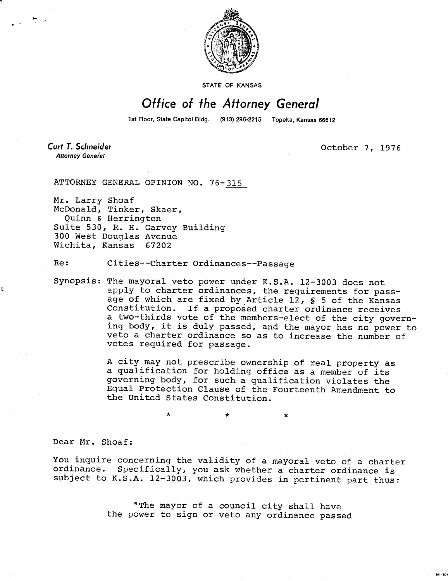

## STATE OF KANSAS

## Office of the Attorney General

1st Floor, State Capitol Bldg. (913) 296-2215 Topeka, Kansas 66612

**Curt T. Schneider Attorney General** 

t

October 7, 1976

M1-104

ATTORNEY GENERAL OPINION NO. 76-315

Mr. Larry Shoaf McDonald, Tinker, Skaer, Quinn & Herrington Suite 530, R. H. Garvey Building 300 West Douglas Avenue Wichita, Kansas 67202

Re: Cities--Charter Ordinances--Passage

Synopsis: The mayoral veto power under K.S.A. 12-3003 does not apply to charter ordinances, the requirements for passage of which are fixed by Article 12, § 5 of the Kansas Constitution. If a proposed charter ordinance receives a two-thirds vote of the members-elect of the city governing body, it is duly passed, and the mayor has no power to veto a charter ordinance so as to increase the number of votes required for passage.

> A city may not prescribe ownership of real property as a qualification for holding office as a member of its governing body, for such a qualification violates the Equal Protection Clause of the Fourteenth Amendment to the United States Constitution.

> > $\star$

Dear Mr. Shoaf:

You inquire concerning the validity of a mayoral veto of a charter ordinance. Specifically, you ask whether a charter ordinance is subject to K.S.A. 12-3003, which provides in pertinent part thus:

> "The mayor of a council city shall have the power to sign or veto any ordinance passed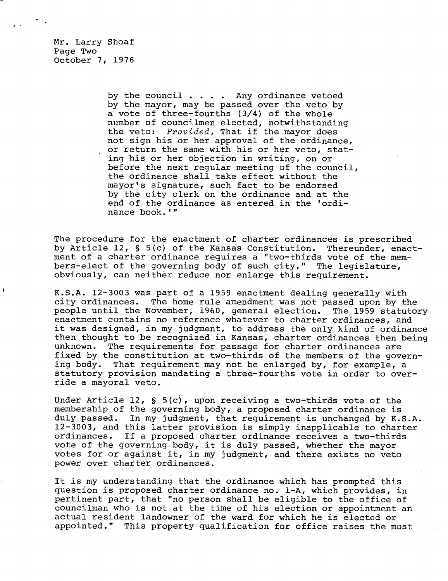Mr. Larry Shoaf Page Two October 7, 1976

> by the council . . . . Any ordinance vetoed by the mayor, may be passed over the veto by a vote of three-fourths (3/4) of the whole number of councilmen elected, notwithstanding the veto: Provided, That if the mayor does not sign his or her approval of the ordinance, or return the same with his or her veto, stating his or her objection in writing, on or before the next regular meeting of the council, the ordinance shall take effect without the mayor's signature, such fact to be endorsed by the city clerk on the ordinance and at the end of the ordinance as entered in the 'ordinance book.'"

The procedure for the enactment of charter ordinances is prescribed by Article 12, § 5(c) of the Kansas Constitution. Thereunder, enactment of a charter ordinance requires a "two-thirds vote of the members-elect of the governing body of such city." The legislature, obviously, can neither reduce nor enlarge this requirement.

K.S.A. 12-3003 was part of a 1959 enactment dealing generally with city ordinances. The home rule amendment was not passed upon by the people until the November, 1960, general election. The 1959 statutory enactment contains no reference whatever to charter ordinances, and it was designed, in my judgment, to address the only kind of ordinance then thought to be recognized in Kansas, charter ordinances then being unknown. The requirements for passage for charter ordinances are fixed by the constitution at two-thirds of the members of the governing body. That requirement may not be enlarged by, for example, a statutory provision mandating a three-fourths vote in order to override a mayoral veto.

Under Article 12, § 5(c), upon receiving a two-thirds vote of the membership of the governing body, a proposed charter ordinance is duly passed. In my judgment, that requirement is unchanged by K.S.A. 12-3003, and this latter provision is simply inapplicable to charter ordinances. If a proposed charter ordinance receives a two-thirds vote of the governing body, it is duly passed, whether the mayor votes for or against it, in my judgment, and there exists no veto power over charter ordinances.

It is my understanding that the ordinance which has prompted this question is proposed charter ordinance no. 1-A, which provides, in pertinent part, that "no person shall be eligible to the office of councilman who is not at the time of his election or appointment an actual resident landowner of the ward for which he is elected or appointed." This property qualification for office raises the most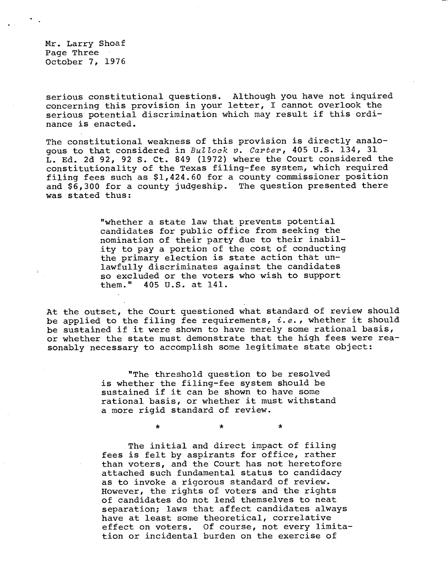Mr. Larry Shoaf Page Three October 7, 1976

serious constitutional questions. Although you have not inquired concerning this provision in your letter, I cannot overlook the serious potential discrimination which may result if this ordinance is enacted.

The constitutional weakness of this provision is directly analogous to that considered in Bullock v. Carter, 405 U.S. 134, 31 L. Ed. 2d 92, 92 S. Ct. 849 (1972) where the Court considered the constitutionality of the Texas filing-fee system, which required filing fees such as \$1,424.60 for a county commissioner position and \$6,300 for a county judgeship. The question presented there was stated thus:

> "whether a state law that prevents potential candidates for public office from seeking the nomination of their party due to their inability to pay a portion of the cost of conducting the primary election is state action that unlawfully discriminates against the candidates so excluded or the voters who wish to support them." 405 U.S. at 141.

At the outset, the Court questioned what standard of review should be applied to the filing fee requirements,  $i.e.$ , whether it should be sustained if it were shown to have merely some rational basis, or whether the state must demonstrate that the high fees were reasonably necessary to accomplish some legitimate state object:

> "The threshold question to be resolved is whether the filing-fee system should be sustained if it can be shown to have some rational basis, or whether it must withstand a more rigid standard of review.

> > $\star$

 $\star$ 

\*

The initial and direct impact of filing fees is felt by aspirants for office, rather than voters, and the Court has not heretofore attached such fundamental status to candidacy as to invoke a rigorous standard of review. However, the rights of voters and the rights of candidates do not lend themselves to neat separation; laws that affect candidates always have at least some theoretical, correlative effect on voters. Of course, not every limitation or incidental burden on the exercise of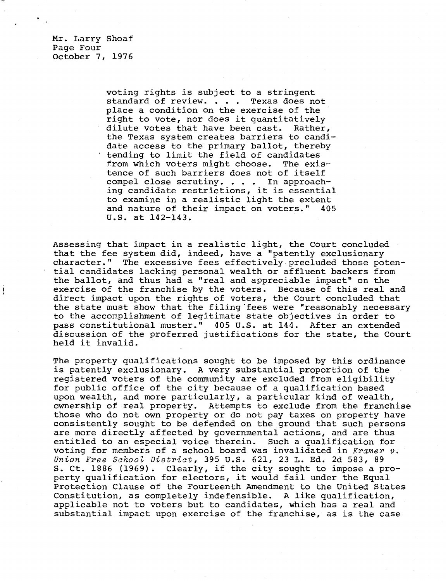Mr. Larry Shoaf Page Four October 7, 1976

> voting rights is subject to a stringent standard of review. . . . Texas does not place a condition on the exercise of the right to vote, nor does it quantitatively dilute votes that have been cast. Rather, the Texas system creates barriers to candidate access to the primary ballot, thereby tending to limit the field of candidates from which voters might choose. The existence of such barriers does not of itself compel close scrutiny. . . . In approaching candidate restrictions, it is essential to examine in a realistic light the extent and nature of their impact on voters." 405 U.S. at 142-143.

Assessing that impact in a realistic light, the Court concluded that the fee system did, indeed, have a "patently exclusionary character." The excessive fees effectively precluded those potential candidates lacking personal wealth or affluent backers from the ballot, and thus had a "real and appreciable impact" on the exercise of the franchise by the voters. Because of this real and direct impact upon the rights of voters, the Court concluded that the state must show that the filing fees were "reasonably necessary to the accomplishment of legitimate state objectives in order to pass constitutional muster." 405 U.S. at 144. After an extended discussion of the proferred justifications for the state, the Court held it invalid.

The property qualifications sought to be imposed by this ordinance is patently exclusionary. A very substantial proportion of the registered voters of the community are excluded from eligibility for public office of the city because of a qualification based upon wealth, and more particularly, a particular kind of wealth, ownership of real property. Attempts to exclude from the franchise those who do not own property or do not pay taxes on property have consistently sought to be defended on the ground that such persons are more directly affected by governmental actions, and are thus entitled to an especial voice therein. Such a qualification for voting for members of a school board was invalidated in Kramer  $v$ . Union Free School District, 395 U.S. 621, 23 L. Ed. 2d 583, 89 S. Ct. 1886 (1969). Clearly, if the city sought to impose a property qualification for electors, it would fail under the Equal Protection Clause of the Fourteenth Amendment to the United States Constitution, as completely indefensible. A like qualification, applicable not to voters but to candidates, which has a real and substantial impact upon exercise of the franchise, as is the case